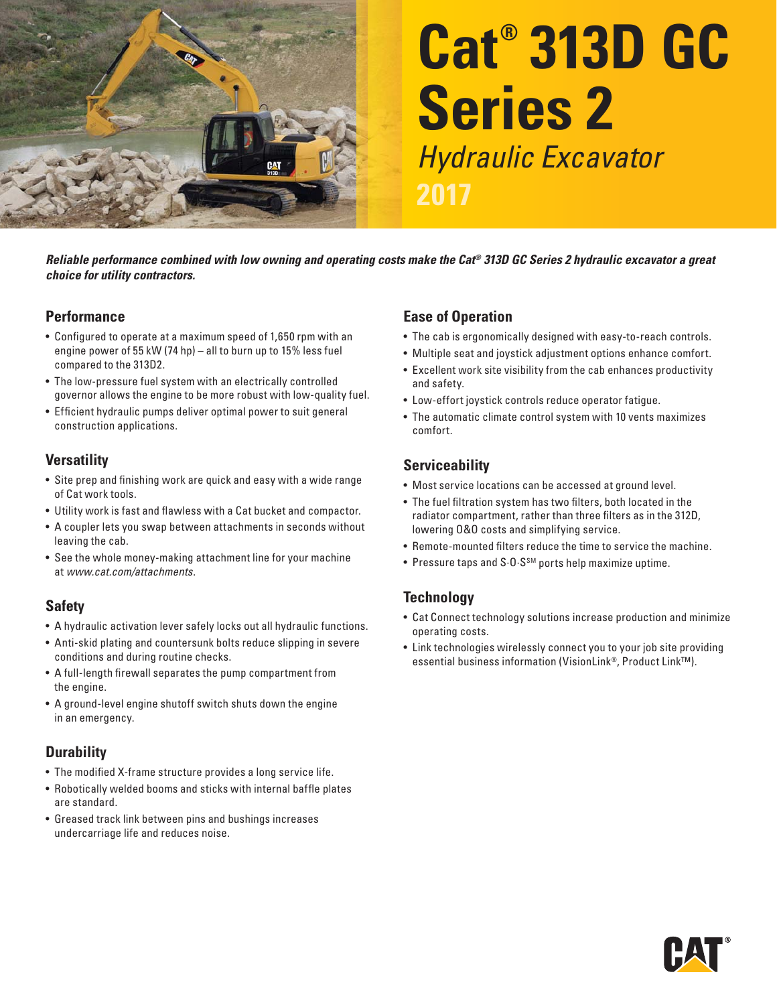

# **Cat® 313D GC Series 2**  Hydraulic Excavator

*Reliable performance combined with low owning and operating costs make the Cat® 313D GC Series 2 hydraulic excavator a great choice for utility contractors.* 

#### **Performance**

- Configured to operate at a maximum speed of 1,650 rpm with an engine power of 55 kW (74 hp) – all to burn up to 15% less fuel compared to the 313D2.
- The low-pressure fuel system with an electrically controlled governor allows the engine to be more robust with low-quality fuel.
- Efficient hydraulic pumps deliver optimal power to suit general construction applications.

#### **Versatility**

- Site prep and finishing work are quick and easy with a wide range of Cat work tools.
- Utility work is fast and flawless with a Cat bucket and compactor.
- A coupler lets you swap between attachments in seconds without leaving the cab.
- See the whole money-making attachment line for your machine at www.cat.com/attachments.

#### **Safety**

- A hydraulic activation lever safely locks out all hydraulic functions.
- Anti-skid plating and countersunk bolts reduce slipping in severe conditions and during routine checks.
- A full-length firewall separates the pump compartment from the engine.
- A ground-level engine shutoff switch shuts down the engine in an emergency.

#### **Durability**

- The modified X-frame structure provides a long service life.
- $\bullet\,$  Robotically welded booms and sticks with internal baffle plates are standard.
- Greased track link between pins and bushings increases undercarriage life and reduces noise.

#### **Ease of Operation**

- The cab is ergonomically designed with easy-to-reach controls.
- Multiple seat and joystick adjustment options enhance comfort.
- Excellent work site visibility from the cab enhances productivity and safety.
- Low-effort joystick controls reduce operator fatigue.
- The automatic climate control system with 10 vents maximizes comfort

### **Serviceability**

- Most service locations can be accessed at ground level.
- The fuel filtration system has two filters, both located in the radiator compartment, rather than three filters as in the 312D, lowering 0&0 costs and simplifying service.
- Remote-mounted filters reduce the time to service the machine.
- Pressure taps and S $0.5^{5M}$  ports help maximize uptime.

### **Technology**

- Cat Connect technology solutions increase production and minimize operating costs.
- Link technologies wirelessly connect you to your job site providing essential business information (VisionLink®, Product Link™).